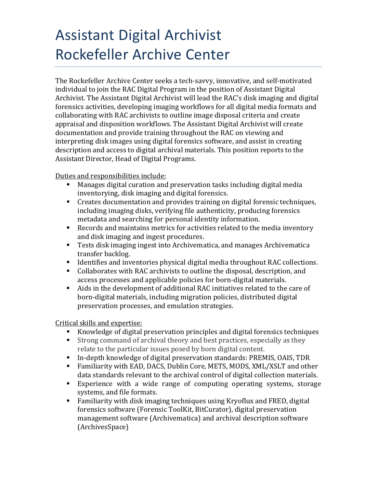# Assistant Digital Archivist Rockefeller Archive Center

The Rockefeller Archive Center seeks a tech-savvy, innovative, and self-motivated individual to join the RAC Digital Program in the position of Assistant Digital Archivist. The Assistant Digital Archivist will lead the RAC's disk imaging and digital forensics activities, developing imaging workflows for all digital media formats and collaborating with RAC archivists to outline image disposal criteria and create appraisal and disposition workflows. The Assistant Digital Archivist will create documentation and provide training throughout the RAC on viewing and interpreting disk images using digital forensics software, and assist in creating description and access to digital archival materials. This position reports to the Assistant Director, Head of Digital Programs.

Duties and responsibilities include:

- Manages digital curation and preservation tasks including digital media inventorying, disk imaging and digital forensics.
- Creates documentation and provides training on digital forensic techniques, including imaging disks, verifying file authenticity, producing forensics metadata and searching for personal identity information.
- Records and maintains metrics for activities related to the media inventory and disk imaging and ingest procedures.
- Tests disk imaging ingest into Archivematica, and manages Archivematica transfer backlog.
- Identifies and inventories physical digital media throughout RAC collections.
- Collaborates with RAC archivists to outline the disposal, description, and access processes and applicable policies for born-digital materials.
- Aids in the development of additional RAC initiatives related to the care of born-digital materials, including migration policies, distributed digital preservation processes, and emulation strategies.

# Critical skills and expertise:

- Knowledge of digital preservation principles and digital forensics techniques<br>Strong command of archival theory and best practices, especially as they
- Strong command of archival theory and best practices, especially as they relate to the particular issues posed by born digital content.
- In-depth knowledge of digital preservation standards: PREMIS, OAIS, TDR
- Familiarity with EAD, DACS, Dublin Core, METS, MODS, XML/XSLT and other data standards relevant to the archival control of digital collection materials.
- Experience with a wide range of computing operating systems, storage systems, and file formats.
- Familiarity with disk imaging techniques using Kryoflux and FRED, digital forensics software (Forensic ToolKit, BitCurator), digital preservation management software (Archivematica) and archival description software (ArchivesSpace)